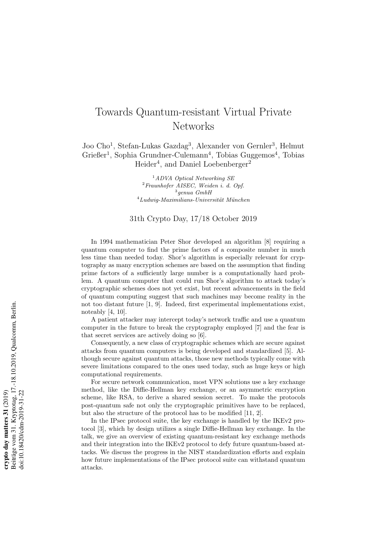## Towards Quantum-resistant Virtual Private Networks

Joo Cho<sup>1</sup>, Stefan-Lukas Gazdag<sup>3</sup>, Alexander von Gernler<sup>3</sup>, Helmut Grießer<sup>1</sup>, Sophia Grundner-Culemann<sup>4</sup>, Tobias Guggemos<sup>4</sup>, Tobias Heider<sup>4</sup>, and Daniel Loebenberger<sup>2</sup>

> $1$ ADVA Optical Networking SE  ${}^{2}$ Fraunhofer AISEC, Weiden i. d. Opf. 3 genua GmbH  $^{4}$ Ludwig-Maximilians-Universität München

## 31th Crypto Day, 17/18 October 2019

In 1994 mathematician Peter Shor developed an algorithm [8] requiring a quantum computer to find the prime factors of a composite number in much less time than needed today. Shor's algorithm is especially relevant for cryptography as many encryption schemes are based on the assumption that finding prime factors of a sufficiently large number is a computationally hard problem. A quantum computer that could run Shor's algorithm to attack today's cryptographic schemes does not yet exist, but recent advancements in the field of quantum computing suggest that such machines may become reality in the not too distant future [1, 9]. Indeed, first experimental implementations exist, noteably [4, 10].

A patient attacker may intercept today's network traffic and use a quantum computer in the future to break the cryptography employed [7] and the fear is that secret services are actively doing so [6].

Consequently, a new class of cryptographic schemes which are secure against attacks from quantum computers is being developed and standardized [5]. Although secure against quantum attacks, those new methods typically come with severe limitations compared to the ones used today, such as huge keys or high computational requirements.

For secure network communication, most VPN solutions use a key exchange method, like the Diffie-Hellman key exchange, or an asymmetric encryption scheme, like RSA, to derive a shared session secret. To make the protocols post-quantum safe not only the cryptographic primitives have to be replaced, but also the structure of the protocol has to be modified [11, 2].

In the IPsec protocol suite, the key exchange is handled by the IKEv2 protocol [3], which by design utilizes a single Diffie-Hellman key exchange. In the talk, we give an overview of existing quantum-resistant key exchange methods and their integration into the IKEv2 protocol to defy future quantum-based attacks. We discuss the progress in the NIST standardization efforts and explain how future implementations of the IPsec protocol suite can withstand quantum attacks.